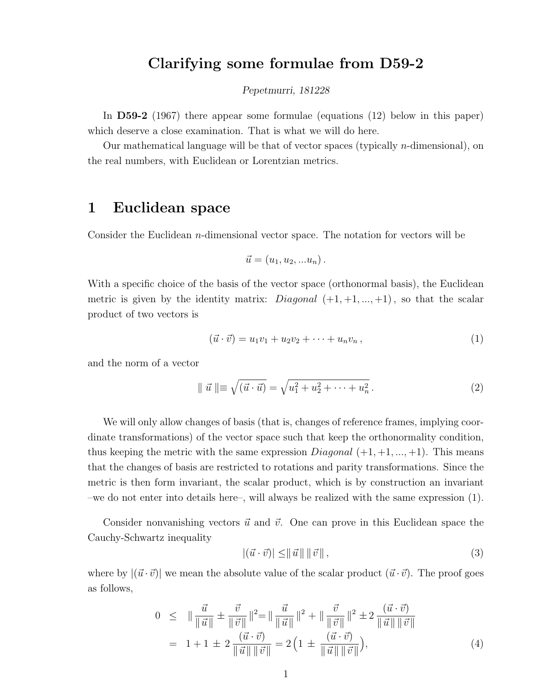## Clarifying some formulae from D59-2

#### Pepetmurri, 181228

In D59-2 (1967) there appear some formulae (equations (12) below in this paper) which deserve a close examination. That is what we will do here.

Our mathematical language will be that of vector spaces (typically n-dimensional), on the real numbers, with Euclidean or Lorentzian metrics.

# 1 Euclidean space

Consider the Euclidean  $n$ -dimensional vector space. The notation for vectors will be

$$
\vec{u} = (u_1, u_2, \dots u_n).
$$

With a specific choice of the basis of the vector space (orthonormal basis), the Euclidean metric is given by the identity matrix: *Diagonal*  $(+1, +1, ..., +1)$ , so that the scalar product of two vectors is

$$
(\vec{u} \cdot \vec{v}) = u_1 v_1 + u_2 v_2 + \dots + u_n v_n, \qquad (1)
$$

and the norm of a vector

$$
\|\vec{u}\| \equiv \sqrt{(\vec{u} \cdot \vec{u})} = \sqrt{u_1^2 + u_2^2 + \dots + u_n^2}.
$$
 (2)

We will only allow changes of basis (that is, changes of reference frames, implying coordinate transformations) of the vector space such that keep the orthonormality condition, thus keeping the metric with the same expression  $Diagonal (+1, +1, ..., +1)$ . This means that the changes of basis are restricted to rotations and parity transformations. Since the metric is then form invariant, the scalar product, which is by construction an invariant –we do not enter into details here–, will always be realized with the same expression (1).

Consider nonvanishing vectors  $\vec{u}$  and  $\vec{v}$ . One can prove in this Euclidean space the Cauchy-Schwartz inequality

$$
|(\vec{u} \cdot \vec{v})| \leq ||\vec{u}|| \, ||\vec{v}||,\tag{3}
$$

where by  $|(\vec{u} \cdot \vec{v})|$  we mean the absolute value of the scalar product  $(\vec{u} \cdot \vec{v})$ . The proof goes as follows,

$$
0 \leq \| \frac{\vec{u}}{\|\vec{u}\|} \pm \frac{\vec{v}}{\|\vec{v}\|} \|^2 = \| \frac{\vec{u}}{\|\vec{u}\|} \|^2 + \| \frac{\vec{v}}{\|\vec{v}\|} \|^2 \pm 2 \frac{(\vec{u} \cdot \vec{v})}{\|\vec{u}\| \|\vec{v}\|}
$$
  
= 1 + 1 ± 2  $\frac{(\vec{u} \cdot \vec{v})}{\|\vec{u}\| \|\vec{v}\|} = 2 \left( 1 \pm \frac{(\vec{u} \cdot \vec{v})}{\|\vec{u}\| \|\vec{v}\|} \right),$  (4)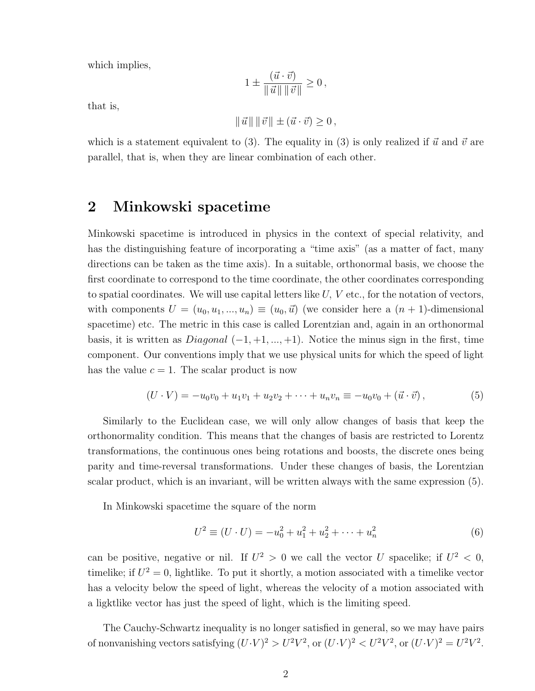which implies,

$$
1 \pm \frac{(\vec{u} \cdot \vec{v})}{\|\vec{u}\| \|\vec{v}\|} \ge 0,
$$

that is,

$$
\|\vec{u}\| \|\vec{v}\| \pm (\vec{u} \cdot \vec{v}) \ge 0,
$$

which is a statement equivalent to (3). The equality in (3) is only realized if  $\vec{u}$  and  $\vec{v}$  are parallel, that is, when they are linear combination of each other.

## 2 Minkowski spacetime

Minkowski spacetime is introduced in physics in the context of special relativity, and has the distinguishing feature of incorporating a "time axis" (as a matter of fact, many directions can be taken as the time axis). In a suitable, orthonormal basis, we choose the first coordinate to correspond to the time coordinate, the other coordinates corresponding to spatial coordinates. We will use capital letters like  $U, V$  etc., for the notation of vectors, with components  $U = (u_0, u_1, ..., u_n) \equiv (u_0, \vec{u})$  (we consider here a  $(n + 1)$ -dimensional spacetime) etc. The metric in this case is called Lorentzian and, again in an orthonormal basis, it is written as  $Diagonal(-1, +1, ..., +1)$ . Notice the minus sign in the first, time component. Our conventions imply that we use physical units for which the speed of light has the value  $c = 1$ . The scalar product is now

$$
(U \cdot V) = -u_0 v_0 + u_1 v_1 + u_2 v_2 + \dots + u_n v_n \equiv -u_0 v_0 + (\vec{u} \cdot \vec{v}), \tag{5}
$$

Similarly to the Euclidean case, we will only allow changes of basis that keep the orthonormality condition. This means that the changes of basis are restricted to Lorentz transformations, the continuous ones being rotations and boosts, the discrete ones being parity and time-reversal transformations. Under these changes of basis, the Lorentzian scalar product, which is an invariant, will be written always with the same expression (5).

In Minkowski spacetime the square of the norm

$$
U^{2} \equiv (U \cdot U) = -u_{0}^{2} + u_{1}^{2} + u_{2}^{2} + \dots + u_{n}^{2}
$$
\n
$$
(6)
$$

can be positive, negative or nil. If  $U^2 > 0$  we call the vector U spacelike; if  $U^2 < 0$ , timelike; if  $U^2 = 0$ , lightlike. To put it shortly, a motion associated with a timelike vector has a velocity below the speed of light, whereas the velocity of a motion associated with a ligktlike vector has just the speed of light, which is the limiting speed.

The Cauchy-Schwartz inequality is no longer satisfied in general, so we may have pairs of nonvanishing vectors satisfying  $(U \cdot V)^2 > U^2 V^2$ , or  $(U \cdot V)^2 < U^2 V^2$ , or  $(U \cdot V)^2 = U^2 V^2$ .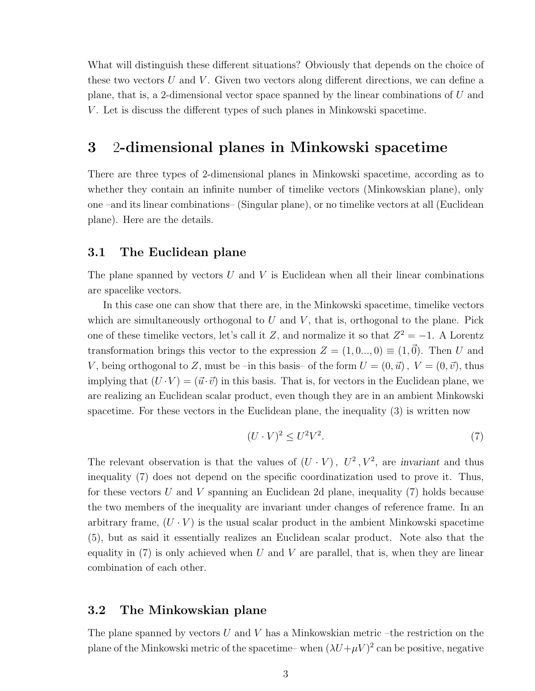What will distinguish these different situations? Obviously that depends on the choice of these two vectors  $U$  and  $V$ . Given two vectors along different directions, we can define a plane, that is, a 2-dimensional vector space spanned by the linear combinations of U and V . Let is discuss the different types of such planes in Minkowski spacetime.

## 3 2-dimensional planes in Minkowski spacetime

There are three types of 2-dimensional planes in Minkowski spacetime, according as to whether they contain an infinite number of timelike vectors (Minkowskian plane), only one –and its linear combinations– (Singular plane), or no timelike vectors at all (Euclidean plane). Here are the details.

#### 3.1 The Euclidean plane

The plane spanned by vectors  $U$  and  $V$  is Euclidean when all their linear combinations are spacelike vectors.

In this case one can show that there are, in the Minkowski spacetime, timelike vectors which are simultaneously orthogonal to  $U$  and  $V$ , that is, orthogonal to the plane. Pick one of these timelike vectors, let's call it Z, and normalize it so that  $Z^2 = -1$ . A Lorentz transformation brings this vector to the expression  $Z = (1, 0, \ldots, 0) \equiv (1, \vec{0})$ . Then U and V, being orthogonal to Z, must be –in this basis– of the form  $U = (0, \vec{u})$ ,  $V = (0, \vec{v})$ , thus implying that  $(U \cdot V) = (\vec{u} \cdot \vec{v})$  in this basis. That is, for vectors in the Euclidean plane, we are realizing an Euclidean scalar product, even though they are in an ambient Minkowski spacetime. For these vectors in the Euclidean plane, the inequality (3) is written now

$$
(U \cdot V)^2 \le U^2 V^2. \tag{7}
$$

The relevant observation is that the values of  $(U \cdot V)$ ,  $U^2$ ,  $V^2$ , are invariant and thus inequality (7) does not depend on the specific coordinatization used to prove it. Thus, for these vectors U and V spanning an Euclidean 2d plane, inequality  $(7)$  holds because the two members of the inequality are invariant under changes of reference frame. In an arbitrary frame,  $(U \cdot V)$  is the usual scalar product in the ambient Minkowski spacetime (5), but as said it essentially realizes an Euclidean scalar product. Note also that the equality in  $(7)$  is only achieved when U and V are parallel, that is, when they are linear combination of each other.

### 3.2 The Minkowskian plane

The plane spanned by vectors  $U$  and  $V$  has a Minkowskian metric –the restriction on the plane of the Minkowski metric of the spacetime– when  $(\lambda U+\mu V)^2$  can be positive, negative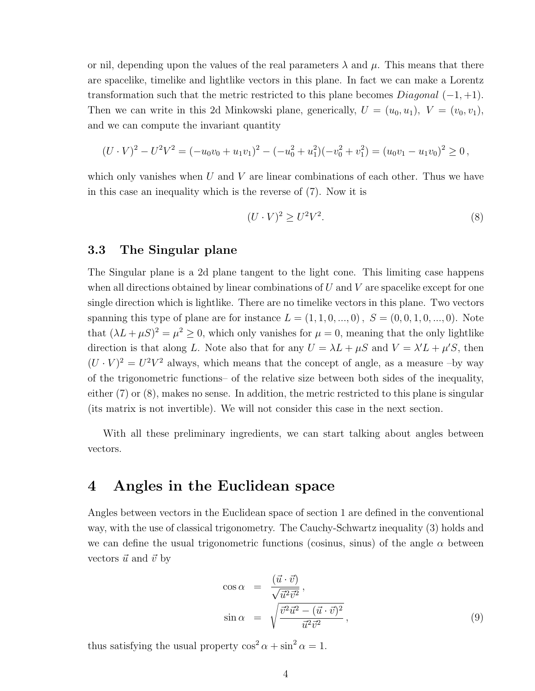or nil, depending upon the values of the real parameters  $\lambda$  and  $\mu$ . This means that there are spacelike, timelike and lightlike vectors in this plane. In fact we can make a Lorentz transformation such that the metric restricted to this plane becomes  $Diagonal(-1, +1)$ . Then we can write in this 2d Minkowski plane, generically,  $U = (u_0, u_1)$ ,  $V = (v_0, v_1)$ , and we can compute the invariant quantity

$$
(U \cdot V)^2 - U^2 V^2 = (-u_0 v_0 + u_1 v_1)^2 - (-u_0^2 + u_1^2)(-v_0^2 + v_1^2) = (u_0 v_1 - u_1 v_0)^2 \ge 0,
$$

which only vanishes when  $U$  and  $V$  are linear combinations of each other. Thus we have in this case an inequality which is the reverse of (7). Now it is

$$
(U \cdot V)^2 \ge U^2 V^2. \tag{8}
$$

### 3.3 The Singular plane

The Singular plane is a 2d plane tangent to the light cone. This limiting case happens when all directions obtained by linear combinations of  $U$  and  $V$  are spacelike except for one single direction which is lightlike. There are no timelike vectors in this plane. Two vectors spanning this type of plane are for instance  $L = (1, 1, 0, ..., 0)$ ,  $S = (0, 0, 1, 0, ..., 0)$ . Note that  $(\lambda L + \mu S)^2 = \mu^2 \geq 0$ , which only vanishes for  $\mu = 0$ , meaning that the only lightlike direction is that along L. Note also that for any  $U = \lambda L + \mu S$  and  $V = \lambda' L + \mu' S$ , then  $(U \cdot V)^2 = U^2 V^2$  always, which means that the concept of angle, as a measure -by way of the trigonometric functions– of the relative size between both sides of the inequality, either (7) or (8), makes no sense. In addition, the metric restricted to this plane is singular (its matrix is not invertible). We will not consider this case in the next section.

With all these preliminary ingredients, we can start talking about angles between vectors.

# 4 Angles in the Euclidean space

Angles between vectors in the Euclidean space of section 1 are defined in the conventional way, with the use of classical trigonometry. The Cauchy-Schwartz inequality (3) holds and we can define the usual trigonometric functions (cosinus, sinus) of the angle  $\alpha$  between vectors  $\vec{u}$  and  $\vec{v}$  by

$$
\cos \alpha = \frac{(\vec{u} \cdot \vec{v})}{\sqrt{\vec{u}^2 \vec{v}^2}},
$$
  
\n
$$
\sin \alpha = \sqrt{\frac{\vec{v}^2 \vec{u}^2 - (\vec{u} \cdot \vec{v})^2}{\vec{u}^2 \vec{v}^2}},
$$
\n(9)

thus satisfying the usual property  $\cos^2 \alpha + \sin^2 \alpha = 1$ .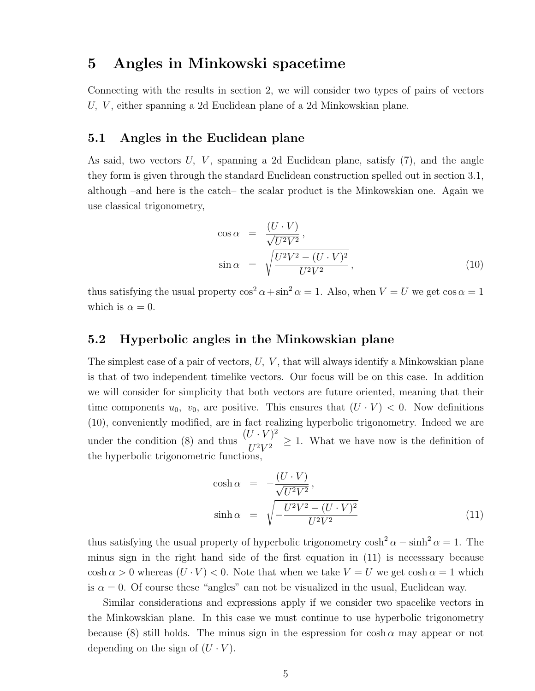# 5 Angles in Minkowski spacetime

Connecting with the results in section 2, we will consider two types of pairs of vectors U, V, either spanning a 2d Euclidean plane of a 2d Minkowskian plane.

### 5.1 Angles in the Euclidean plane

As said, two vectors  $U, V$ , spanning a 2d Euclidean plane, satisfy  $(7)$ , and the angle they form is given through the standard Euclidean construction spelled out in section 3.1, although –and here is the catch– the scalar product is the Minkowskian one. Again we use classical trigonometry,

$$
\cos \alpha = \frac{(U \cdot V)}{\sqrt{U^2 V^2}},
$$
  
\n
$$
\sin \alpha = \sqrt{\frac{U^2 V^2 - (U \cdot V)^2}{U^2 V^2}},
$$
\n(10)

thus satisfying the usual property  $\cos^2 \alpha + \sin^2 \alpha = 1$ . Also, when  $V = U$  we get  $\cos \alpha = 1$ which is  $\alpha = 0$ .

### 5.2 Hyperbolic angles in the Minkowskian plane

The simplest case of a pair of vectors,  $U, V$ , that will always identify a Minkowskian plane is that of two independent timelike vectors. Our focus will be on this case. In addition we will consider for simplicity that both vectors are future oriented, meaning that their time components  $u_0$ ,  $v_0$ , are positive. This ensures that  $(U \cdot V) < 0$ . Now definitions (10), conveniently modified, are in fact realizing hyperbolic trigonometry. Indeed we are under the condition (8) and thus  $\frac{(U \cdot V)^2}{U^2 V^2}$  $\frac{U^2 V}{U^2 V^2} \geq 1$ . What we have now is the definition of the hyperbolic trigonometric functions,

$$
\cosh \alpha = -\frac{(U \cdot V)}{\sqrt{U^2 V^2}},
$$
  
\n
$$
\sinh \alpha = \sqrt{-\frac{U^2 V^2 - (U \cdot V)^2}{U^2 V^2}}
$$
\n(11)

thus satisfying the usual property of hyperbolic trigonometry  $\cosh^2 \alpha - \sinh^2 \alpha = 1$ . The minus sign in the right hand side of the first equation in (11) is necesssary because  $\cosh \alpha > 0$  whereas  $(U \cdot V) < 0$ . Note that when we take  $V = U$  we get  $\cosh \alpha = 1$  which is  $\alpha = 0$ . Of course these "angles" can not be visualized in the usual, Euclidean way.

Similar considerations and expressions apply if we consider two spacelike vectors in the Minkowskian plane. In this case we must continue to use hyperbolic trigonometry because (8) still holds. The minus sign in the espression for cosh  $\alpha$  may appear or not depending on the sign of  $(U \cdot V)$ .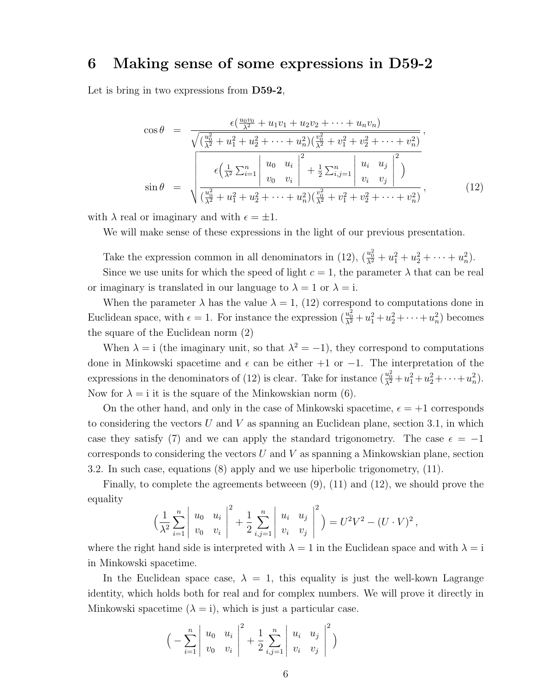## 6 Making sense of some expressions in D59-2

Let is bring in two expressions from **D59-2**,

$$
\cos \theta = \frac{\epsilon(\frac{u_0v_0}{\lambda^2} + u_1v_1 + u_2v_2 + \dots + u_nv_n)}{\sqrt{(\frac{u_0^2}{\lambda^2} + u_1^2 + u_2^2 + \dots + u_n^2)(\frac{v_0^2}{\lambda^2} + v_1^2 + v_2^2 + \dots + v_n^2)}},
$$
  
\n
$$
\sin \theta = \sqrt{\frac{\epsilon(\frac{1}{\lambda^2} \sum_{i=1}^n \left| \frac{u_0}{v_0} - u_i \right|^2 + \frac{1}{2} \sum_{i,j=1}^n \left| \frac{u_i}{v_i} - u_j \right|^2)}{\frac{u_0^2}{\lambda^2} + u_1^2 + u_2^2 + \dots + u_n^2)(\frac{v_0^2}{\lambda^2} + v_1^2 + v_2^2 + \dots + v_n^2)}},
$$
\n(12)

with  $\lambda$  real or imaginary and with  $\epsilon = \pm 1$ .

We will make sense of these expressions in the light of our previous presentation.

Take the expression common in all denominators in (12),  $(\frac{u_0^2}{\lambda^2} + u_1^2 + u_2^2 + \cdots + u_n^2)$ .

Since we use units for which the speed of light  $c = 1$ , the parameter  $\lambda$  that can be real or imaginary is translated in our language to  $\lambda = 1$  or  $\lambda = i$ .

When the parameter  $\lambda$  has the value  $\lambda = 1$ , (12) correspond to computations done in Euclidean space, with  $\epsilon = 1$ . For instance the expression  $(\frac{u_0^2}{\lambda^2} + u_1^2 + u_2^2 + \cdots + u_n^2)$  becomes the square of the Euclidean norm (2)

When  $\lambda = i$  (the imaginary unit, so that  $\lambda^2 = -1$ ), they correspond to computations done in Minkowski spacetime and  $\epsilon$  can be either +1 or −1. The interpretation of the expressions in the denominators of (12) is clear. Take for instance  $(\frac{u_0^2}{\lambda^2} + u_1^2 + u_2^2 + \cdots + u_n^2)$ . Now for  $\lambda = i$  it is the square of the Minkowskian norm (6).

On the other hand, and only in the case of Minkowski spacetime,  $\epsilon = +1$  corresponds to considering the vectors U and V as spanning an Euclidean plane, section 3.1, in which case they satisfy (7) and we can apply the standard trigonometry. The case  $\epsilon = -1$ corresponds to considering the vectors  $U$  and  $V$  as spanning a Minkowskian plane, section 3.2. In such case, equations (8) apply and we use hiperbolic trigonometry, (11).

Finally, to complete the agreements betweeen (9), (11) and (12), we should prove the equality

$$
\left(\frac{1}{\lambda^2} \sum_{i=1}^n \left| \begin{array}{cc} u_0 & u_i \\ v_0 & v_i \end{array} \right|^2 + \frac{1}{2} \sum_{i,j=1}^n \left| \begin{array}{cc} u_i & u_j \\ v_i & v_j \end{array} \right|^2 \right) = U^2 V^2 - (U \cdot V)^2,
$$

where the right hand side is interpreted with  $\lambda = 1$  in the Euclidean space and with  $\lambda = i$ in Minkowski spacetime.

In the Euclidean space case,  $\lambda = 1$ , this equality is just the well-kown Lagrange identity, which holds both for real and for complex numbers. We will prove it directly in Minkowski spacetime  $(\lambda = i)$ , which is just a particular case.

$$
\Big(-\sum_{i=1}^n \left|\begin{array}{cc} u_0 & u_i \\ v_0 & v_i \end{array}\right|^2 + \frac{1}{2}\sum_{i,j=1}^n \left|\begin{array}{cc} u_i & u_j \\ v_i & v_j \end{array}\right|^2\Big)
$$